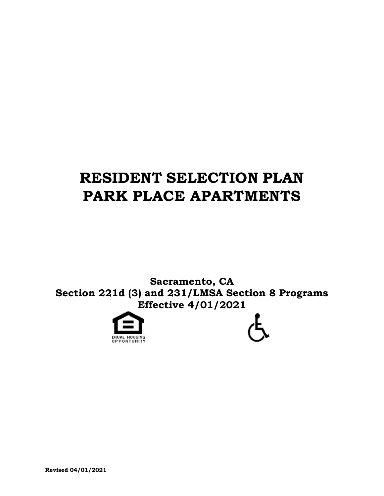# **RESIDENT SELECTION PLAN PARK PLACE APARTMENTS**

**Sacramento, CA Section 221d (3) and 231/LMSA Section 8 Programs Effective 4/01/2021**





**Revised 04/01/2021**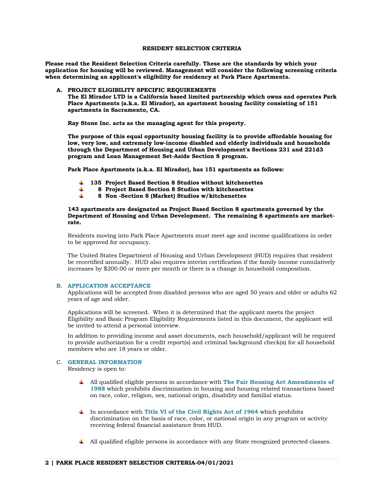# **RESIDENT SELECTION CRITERIA**

**Please read the Resident Selection Criteria carefully. These are the standards by which your application for housing will be reviewed. Management will consider the following screening criteria when determining an applicant's eligibility for residency at Park Place Apartments.**

# **A. PROJECT ELIGIBILITY SPECIFIC REQUIREMENTS**

**The El Mirador LTD is a California based limited partnership which owns and operates Park Place Apartments (a.k.a. El Mirador), an apartment housing facility consisting of 151 apartments in Sacramento, CA.** 

**Ray Stone Inc. acts as the managing agent for this property.** 

**The purpose of this equal opportunity housing facility is to provide affordable housing for low, very low, and extremely low-income disabled and elderly individuals and households through the Department of Housing and Urban Development's Sections 231 and 221d3 program and Loan Management Set-Aside Section 8 program.** 

**Park Place Apartments (a.k.a. El Mirador), has 151 apartments as follows:**

- **135 Project Based Section 8 Studios without kitchenettes**
- **8 Project Based Section 8 Studios with kitchenettes** 4
- **8 Non -Section 8 (Market) Studios w/kitchenettes**

**143 apartments are designated as Project Based Section 8 apartments governed by the Department of Housing and Urban Development. The remaining 8 apartments are marketrate.**

Residents moving into Park Place Apartments must meet age and income qualifications in order to be approved for occupancy.

The United States Department of Housing and Urban Development (HUD) requires that resident be recertified annually. HUD also requires interim certification if the family income cumulatively increases by \$200.00 or more per month or there is a change in household composition.

# **B. APPLICATION ACCEPTANCE**

Applications will be accepted from disabled persons who are aged 50 years and older or adults 62 years of age and older.

Applications will be screened. When it is determined that the applicant meets the project Eligibility and Basic Program Eligibility Requirements listed in this document, the applicant will be invited to attend a personal interview.

In addition to providing income and asset documents, each household/applicant will be required to provide authorization for a credit report(s) and criminal background check(s) for all household members who are 18 years or older.

#### **C. GENERAL INFORMATION**

Residency is open to:

- All qualified eligible persons in accordance with **The Fair Housing Act Amendments of 1988** which prohibits discrimination in housing and housing related transactions based on race, color, religion, sex, national origin, disability and familial status.
- In accordance with **Title VI of the Civil Rights Act of 1964** which prohibits discrimination on the basis of race, color, or national origin in any program or activity receiving federal financial assistance from HUD.
- All qualified eligible persons in accordance with any State recognized protected classes.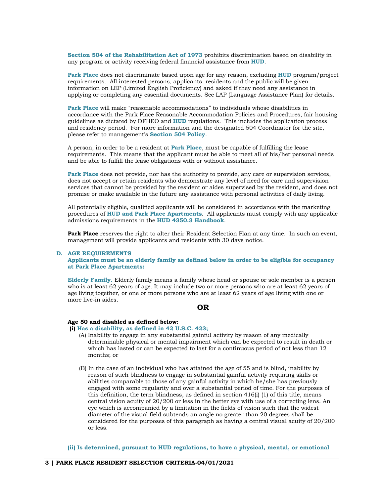**Section 504 of the Rehabilitation Act of 1973** prohibits discrimination based on disability in any program or activity receiving federal financial assistance from **HUD**.

**Park Place** does not discriminate based upon age for any reason, excluding **HUD** program/project requirements. All interested persons, applicants, residents and the public will be given information on LEP (Limited English Proficiency) and asked if they need any assistance in applying or completing any essential documents. See LAP (Language Assistance Plan) for details.

**Park Place** will make "reasonable accommodations" to individuals whose disabilities in accordance with the Park Place Reasonable Accommodation Policies and Procedures, fair housing guidelines as dictated by DFHEO and **HUD** regulations. This includes the application process and residency period. For more information and the designated 504 Coordinator for the site, please refer to management's **Section 504 Policy**.

A person, in order to be a resident at **Park Place**, must be capable of fulfilling the lease requirements. This means that the applicant must be able to meet all of his/her personal needs and be able to fulfill the lease obligations with or without assistance.

**Park Place** does not provide, nor has the authority to provide, any care or supervision services, does not accept or retain residents who demonstrate any level of need for care and supervision services that cannot be provided by the resident or aides supervised by the resident, and does not promise or make available in the future any assistance with personal activities of daily living.

All potentially eligible, qualified applicants will be considered in accordance with the marketing procedures of **HUD and Park Place Apartments**. All applicants must comply with any applicable admissions requirements in the **HUD 4350.3 Handbook**.

Park Place reserves the right to alter their Resident Selection Plan at any time. In such an event, management will provide applicants and residents with 30 days notice.

#### **D. AGE REQUIREMENTS**

**Applicants must be an elderly family as defined below in order to be eligible for occupancy at Park Place Apartments:**

**Elderly Family.** Elderly family means a family whose head or spouse or sole member is a person who is at least 62 years of age. It may include two or more persons who are at least 62 years of age living together, or one or more persons who are at least 62 years of age living with one or more live-in aides.

# **OR**

# **Age 50 and disabled as defined below:**

- **(i) Has a disability, as defined in 42 U.S.C. 423;**
	- (A) Inability to engage in any substantial gainful activity by reason of any medically determinable physical or mental impairment which can be expected to result in death or which has lasted or can be expected to last for a continuous period of not less than 12 months; or
	- (B) In the case of an individual who has attained the age of 55 and is blind, inability by reason of such blindness to engage in substantial gainful activity requiring skills or abilities comparable to those of any gainful activity in which he/she has previously engaged with some regularity and over a substantial period of time. For the purposes of this definition, the term blindness, as defined in section  $416(i)$  (1) of this title, means central vision acuity of 20/200 or less in the better eye with use of a correcting lens. An eye which is accompanied by a limitation in the fields of vision such that the widest diameter of the visual field subtends an angle no greater than 20 degrees shall be considered for the purposes of this paragraph as having a central visual acuity of 20/200 or less.

**(ii) Is determined, pursuant to HUD regulations, to have a physical, mental, or emotional**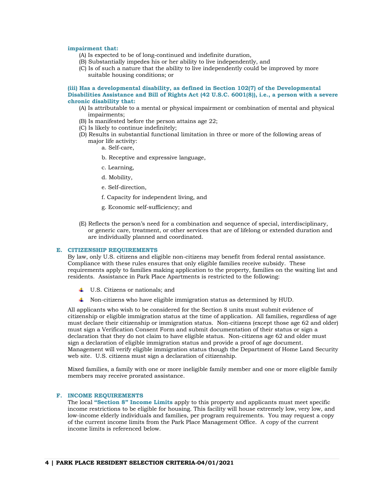#### **impairment that:**

- (A) Is expected to be of long-continued and indefinite duration,
- (B) Substantially impedes his or her ability to live independently, and
- (C) Is of such a nature that the ability to live independently could be improved by more suitable housing conditions; or

#### **(iii) Has a developmental disability, as defined in Section 102(7) of the Developmental Disabilities Assistance and Bill of Rights Act (42 U.S.C. 6001(8)), i.e., a person with a severe chronic disability that:**

- (A) Is attributable to a mental or physical impairment or combination of mental and physical impairments;
- (B) Is manifested before the person attains age 22;
- (C) Is likely to continue indefinitely;
- (D) Results in substantial functional limitation in three or more of the following areas of major life activity:
	- a. Self-care,
	- b. Receptive and expressive language,
	- c. Learning,
	- d. Mobility,
	- e. Self-direction,
	- f. Capacity for independent living, and
	- g. Economic self-sufficiency; and
- (E) Reflects the person's need for a combination and sequence of special, interdisciplinary, or generic care, treatment, or other services that are of lifelong or extended duration and are individually planned and coordinated.

#### **E. CITIZENSHIP REQUIREMENTS**

By law, only U.S. citizens and eligible non-citizens may benefit from federal rental assistance. Compliance with these rules ensures that only eligible families receive subsidy. These requirements apply to families making application to the property, families on the waiting list and residents. Assistance in Park Place Apartments is restricted to the following:

- U.S. Citizens or nationals; and
- Non-citizens who have eligible immigration status as determined by HUD.

All applicants who wish to be considered for the Section 8 units must submit evidence of citizenship or eligible immigration status at the time of application. All families, regardless of age must declare their citizenship or immigration status. Non-citizens (except those age 62 and older) must sign a Verification Consent Form and submit documentation of their status or sign a declaration that they do not claim to have eligible status. Non-citizens age 62 and older must sign a declaration of eligible immigration status and provide a proof of age document. Management will verify eligible immigration status though the Department of Home Land Security web site. U.S. citizens must sign a declaration of citizenship.

Mixed families, a family with one or more ineligible family member and one or more eligible family members may receive prorated assistance.

# **F. INCOME REQUIREMENTS**

The local **"Section 8" Income Limits** apply to this property and applicants must meet specific income restrictions to be eligible for housing. This facility will house extremely low, very low, and low-income elderly individuals and families, per program requirements. You may request a copy of the current income limits from the Park Place Management Office. A copy of the current income limits is referenced below.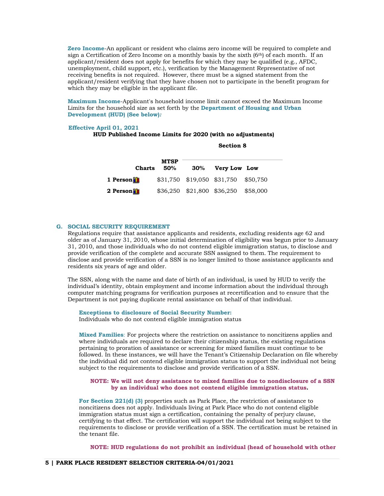**Zero Income**-An applicant or resident who claims zero income will be required to complete and sign a Certification of Zero Income on a monthly basis by the sixth  $(6<sup>th</sup>)$  of each month. If an applicant/resident does not apply for benefits for which they may be qualified (e.g., AFDC, unemployment, child support, etc.), verification by the Management Representative of not receiving benefits is not required. However, there must be a signed statement from the applicant/resident verifying that they have chosen not to participate in the benefit program for which they may be eligible in the applicant file.

**Maximum Income**-Applicant's household income limit cannot exceed the Maximum Income Limits for the household size as set forth by the **Department of Housing and Urban Development (HUD) (See below)***:*

#### **Effective April 01, 2021**

# **HUD Published Income Limits for 2020 (with no adjustments)**

| <b>Charts</b> | <b>MTSP</b><br>50% | 30% Very Low Low                    |  |
|---------------|--------------------|-------------------------------------|--|
| 1 Person      |                    | \$31,750 \$19,050 \$31,750 \$50,750 |  |
| 2 Person      |                    | \$36,250 \$21,800 \$36,250 \$58,000 |  |

**Section 8** 

# **G. SOCIAL SECURITY REQUIREMENT**

Regulations require that assistance applicants and residents, excluding residents age 62 and older as of January 31, 2010, whose initial determination of eligibility was begun prior to January 31, 2010, and those individuals who do not contend eligible immigration status, to disclose and provide verification of the complete and accurate SSN assigned to them. The requirement to disclose and provide verification of a SSN is no longer limited to those assistance applicants and residents six years of age and older.

The SSN, along with the name and date of birth of an individual, is used by HUD to verify the individual's identity, obtain employment and income information about the individual through computer matching programs for verification purposes at recertification and to ensure that the Department is not paying duplicate rental assistance on behalf of that individual.

**Exceptions to disclosure of Social Security Number:**

Individuals who do not contend eligible immigration status

**Mixed Families**: For projects where the restriction on assistance to noncitizens applies and where individuals are required to declare their citizenship status, the existing regulations pertaining to proration of assistance or screening for mixed families must continue to be followed. In these instances, we will have the Tenant's Citizenship Declaration on file whereby the individual did not contend eligible immigration status to support the individual not being subject to the requirements to disclose and provide verification of a SSN.

### **NOTE: We will not deny assistance to mixed families due to nondisclosure of a SSN by an individual who does not contend eligible immigration status.**

**For Section 221(d) (3)** properties such as Park Place, the restriction of assistance to noncitizens does not apply. Individuals living at Park Place who do not contend eligible immigration status must sign a certification, containing the penalty of perjury clause, certifying to that effect. The certification will support the individual not being subject to the requirements to disclose or provide verification of a SSN. The certification must be retained in the tenant file.

**NOTE: HUD regulations do not prohibit an individual (head of household with other**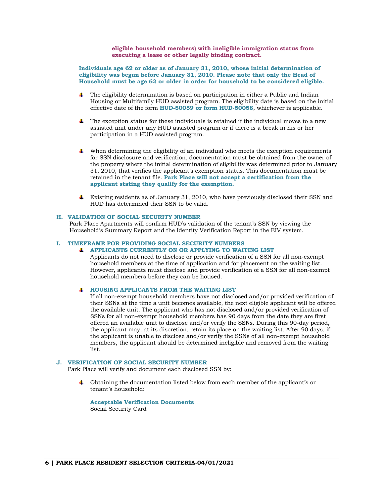**eligible household members) with ineligible immigration status from executing a lease or other legally binding contract.**

**Individuals age 62 or older as of January 31, 2010, whose initial determination of eligibility was begun before January 31, 2010. Please note that only the Head of Household must be age 62 or older in order for household to be considered eligible.**

- The eligibility determination is based on participation in either a Public and Indian Housing or Multifamily HUD assisted program. The eligibility date is based on the initial effective date of the form **HUD-50059 or form HUD-50058**, whichever is applicable.
- ┹ The exception status for these individuals is retained if the individual moves to a new assisted unit under any HUD assisted program or if there is a break in his or her participation in a HUD assisted program.
- $\ddot{\phantom{a}}$  When determining the eligibility of an individual who meets the exception requirements for SSN disclosure and verification, documentation must be obtained from the owner of the property where the initial determination of eligibility was determined prior to January 31, 2010, that verifies the applicant's exemption status. This documentation must be retained in the tenant file. **Park Place will not accept a certification from the applicant stating they qualify for the exemption.**
- Existing residents as of January 31, 2010, who have previously disclosed their SSN and HUD has determined their SSN to be valid.

# **H. VALIDATION OF SOCIAL SECURITY NUMBER**

Park Place Apartments will confirm HUD's validation of the tenant's SSN by viewing the Household's Summary Report and the Identity Verification Report in the EIV system.

# **I. TIMEFRAME FOR PROVIDING SOCIAL SECURITY NUMBERS**

# **APPLICANTS CURRENTLY ON OR APPLYING TO WAITING LIST**

Applicants do not need to disclose or provide verification of a SSN for all non-exempt household members at the time of application and for placement on the waiting list. However, applicants must disclose and provide verification of a SSN for all non-exempt household members before they can be housed.

#### **HOUSING APPLICANTS FROM THE WAITING LIST**  all in

If all non-exempt household members have not disclosed and/or provided verification of their SSNs at the time a unit becomes available, the next eligible applicant will be offered the available unit. The applicant who has not disclosed and/or provided verification of SSNs for all non-exempt household members has 90 days from the date they are first offered an available unit to disclose and/or verify the SSNs. During this 90-day period, the applicant may, at its discretion, retain its place on the waiting list. After 90 days, if the applicant is unable to disclose and/or verify the SSNs of all non-exempt household members, the applicant should be determined ineligible and removed from the waiting list.

# **J. VERIFICATION OF SOCIAL SECURITY NUMBER**

Park Place will verify and document each disclosed SSN by:

Obtaining the documentation listed below from each member of the applicant's or tenant's household:

**Acceptable Verification Documents** Social Security Card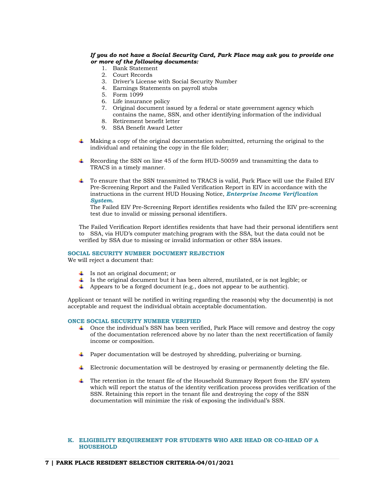# *If you do not have a Social Security Card, Park Place may ask you to provide one or more of the following documents:*

- 1. Bank Statement
- 2. Court Records
- 3. Driver's License with Social Security Number
- 4. Earnings Statements on payroll stubs
- 5. Form 1099
- 6. Life insurance policy
- 7. Original document issued by a federal or state government agency which contains the name, SSN, and other identifying information of the individual
- 8. Retirement benefit letter
- 9. SSA Benefit Award Letter
- Making a copy of the original documentation submitted, returning the original to the individual and retaining the copy in the file folder;
- Recording the SSN on line 45 of the form HUD-50059 and transmitting the data to TRACS in a timely manner.
- To ensure that the SSN transmitted to TRACS is valid, Park Place will use the Failed EIV Pre-Screening Report and the Failed Verification Report in EIV in accordance with the instructions in the current HUD Housing Notice, *Enterprise Income Verification System***.**

The Failed EIV Pre-Screening Report identifies residents who failed the EIV pre-screening test due to invalid or missing personal identifiers.

The Failed Verification Report identifies residents that have had their personal identifiers sent to SSA, via HUD's computer matching program with the SSA, but the data could not be verified by SSA due to missing or invalid information or other SSA issues.

# **SOCIAL SECURITY NUMBER DOCUMENT REJECTION**

We will reject a document that:

- $\downarrow$  Is not an original document; or
- Is the original document but it has been altered, mutilated, or is not legible; or
- $\overline{\mathbf{A}}$  Appears to be a forged document (e.g., does not appear to be authentic).

Applicant or tenant will be notified in writing regarding the reason(s) why the document(s) is not acceptable and request the individual obtain acceptable documentation.

# **ONCE SOCIAL SECURITY NUMBER VERIFIED**

- Once the individual's SSN has been verified, Park Place will remove and destroy the copy of the documentation referenced above by no later than the next recertification of family income or composition.
- Paper documentation will be destroyed by shredding, pulverizing or burning.
- Electronic documentation will be destroyed by erasing or permanently deleting the file.
- $\ddot{\phantom{1}}$  The retention in the tenant file of the Household Summary Report from the EIV system which will report the status of the identity verification process provides verification of the SSN. Retaining this report in the tenant file and destroying the copy of the SSN documentation will minimize the risk of exposing the individual's SSN.

# **K. ELIGIBILITY REQUIREMENT FOR STUDENTS WHO ARE HEAD OR CO-HEAD OF A HOUSEHOLD**

#### **7 | PARK PLACE RESIDENT SELECTION CRITERIA-04/01/2021**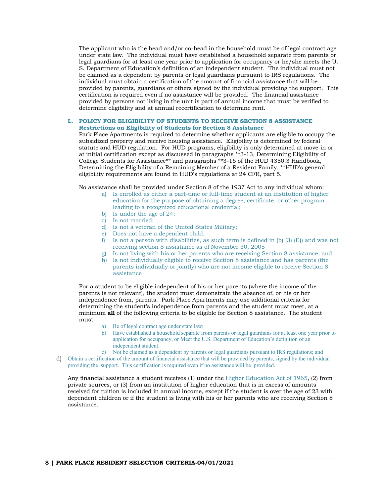The applicant who is the head and/or co-head in the household must be of legal contract age under state law. The individual must have established a household separate from parents or legal guardians for at least one year prior to application for occupancy or he/she meets the U. S. Department of Education's definition of an independent student. The individual must not be claimed as a dependent by parents or legal guardians pursuant to IRS regulations. The individual must obtain a certification of the amount of financial assistance that will be provided by parents, guardians or others signed by the individual providing the support. This certification is required even if no assistance will be provided. The financial assistance provided by persons not living in the unit is part of annual income that must be verified to determine eligibility and at annual recertification to determine rent.

### **L. POLICY FOR ELIGIBILITY OF STUDENTS TO RECEIVE SECTION 8 ASSISTANCE Restrictions on Eligibility of Students for Section 8 Assistance**

Park Place Apartments is required to determine whether applicants are eligible to occupy the subsidized property and receive housing assistance. Eligibility is determined by federal statute and HUD regulation. For HUD programs, eligibility is only determined at move-in or at initial certification except as discussed in paragraphs \*\*3-13, Determining Eligibility of College Students for Assistance\*\* and paragraphs \*\*3-16 of the HUD 4350.3 Handbook, Determining the Eligibility of a Remaining Member of a Resident Family. \*\*HUD's general eligibility requirements are found in HUD's regulations at 24 CFR, part 5.

No assistance shall be provided under Section 8 of the 1937 Act to any individual whom:

- a) Is enrolled as either a part-time or full-time student at an institution of higher education for the purpose of obtaining a degree, certificate, or other program leading to a recognized educational credential;
- b) Is under the age of 24;
- c) Is not married;
- d) Is not a veteran of the United States Military;
- e) Does not have a dependent child;
- f) Is not a person with disabilities, as such term is defined in (b)  $(3)$  (E)) and was not receiving section 8 assistance as of November 30, 2005
- g) Is not living with his or her parents who are receiving Section 8 assistance; and
- h) Is not individually eligible to receive Section 8 assistance and has parents (the parents individually or jointly) who are not income eligible to receive Section 8 assistance

For a student to be eligible independent of his or her parents (where the income of the parents is not relevant), the student must demonstrate the absence of, or his or her independence from, parents. Park Place Apartments may use additional criteria for determining the student's independence from parents and the student must meet, at a minimum **all** of the following criteria to be eligible for Section 8 assistance. The student must:

- a) Be of legal contract age under state law;
- b) Have established a household separate from parents or legal guardians for at least one year prior to application for occupancy, or Meet the U.S. Department of Education's definition of an independent student.
- c) Not be claimed as a dependent by parents or legal guardians pursuant to IRS regulations; and d) Obtain a certification of the amount of financial assistance that will be provided by parents, signed by the individual providing the support. This certification is required even if no assistance will be provided.

Any financial assistance a student receives (1) under the Higher Education Act of 1965, (2) from private sources, or (3) from an institution of higher education that is in excess of amounts received for tuition is included in annual income, except if the student is over the age of 23 with dependent children or if the student is living with his or her parents who are receiving Section 8 assistance.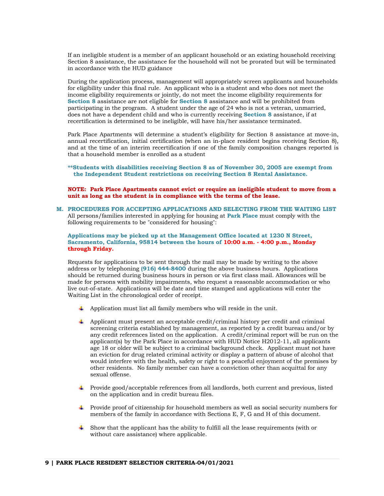If an ineligible student is a member of an applicant household or an existing household receiving Section 8 assistance, the assistance for the household will not be prorated but will be terminated in accordance with the HUD guidance

During the application process, management will appropriately screen applicants and households for eligibility under this final rule. An applicant who is a student and who does not meet the income eligibility requirements or jointly, do not meet the income eligibility requirements for **Section 8** assistance are not eligible for **Section 8** assistance and will be prohibited from participating in the program. A student under the age of 24 who is not a veteran, unmarried, does not have a dependent child and who is currently receiving **Section 8** assistance, if at recertification is determined to be ineligible, will have his/her assistance terminated.

Park Place Apartments will determine a student's eligibility for Section 8 assistance at move-in, annual recertification, initial certification (when an in-place resident begins receiving Section 8), and at the time of an interim recertification if one of the family composition changes reported is that a household member is enrolled as a student

**\*\*Students with disabilities receiving Section 8 as of November 30, 2005 are exempt from the Independent Student restrictions on receiving Section 8 Rental Assistance.** 

#### **NOTE: Park Place Apartments cannot evict or require an ineligible student to move from a unit as long as the student is in compliance with the terms of the lease.**

**M. PROCEDURES FOR ACCEPTING APPLICATIONS AND SELECTING FROM THE WAITING LIST**  All persons/families interested in applying for housing at **Park Place** must comply with the following requirements to be "considered for housing":

**Applications may be picked up at the Management Office located at 1230 N Street, Sacramento, California, 95814 between the hours of 10:00 a.m. - 4:00 p.m., Monday through Friday.** 

Requests for applications to be sent through the mail may be made by writing to the above address or by telephoning **(916) 444-8400** during the above business hours. Applications should be returned during business hours in person or via first class mail. Allowances will be made for persons with mobility impairments, who request a reasonable accommodation or who live out-of-state. Applications will be date and time stamped and applications will enter the Waiting List in the chronological order of receipt.

- $\ddot{\bullet}$  Application must list all family members who will reside in the unit.
- $\Box$  Applicant must present an acceptable credit/criminal history per credit and criminal screening criteria established by management, as reported by a credit bureau and/or by any credit references listed on the application. A credit/criminal report will be run on the applicant(s) by the Park Place in accordance with HUD Notice H2012-11, all applicants age 18 or older will be subject to a criminal background check. Applicant must not have an eviction for drug related criminal activity or display a pattern of abuse of alcohol that would interfere with the health, safety or right to a peaceful enjoyment of the premises by other residents. No family member can have a conviction other than acquittal for any sexual offense.
- Provide good/acceptable references from all landlords, both current and previous, listed on the application and in credit bureau files.
- Provide proof of citizenship for household members as well as social security numbers for members of the family in accordance with Sections E, F, G and H of this document.
- Show that the applicant has the ability to fulfill all the lease requirements (with or ₩. without care assistance) where applicable.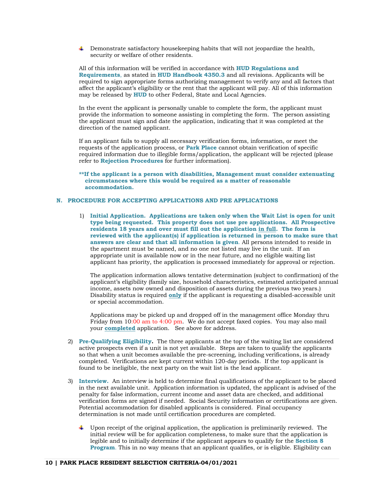**Demonstrate satisfactory houseleeping habits that will not jeopardize the health,** security or welfare of other residents.

All of this information will be verified in accordance with **HUD Regulations and Requirements**, as stated in **HUD Handbook 4350.3** and all revisions. Applicants will be required to sign appropriate forms authorizing management to verify any and all factors that affect the applicant's eligibility or the rent that the applicant will pay. All of this information may be released by **HUD** to other Federal, State and Local Agencies.

In the event the applicant is personally unable to complete the form, the applicant must provide the information to someone assisting in completing the form. The person assisting the applicant must sign and date the application, indicating that it was completed at the direction of the named applicant.

If an applicant fails to supply all necessary verification forms, information, or meet the requests of the application process, or **Park Place** cannot obtain verification of specific required information due to illegible forms/application, the applicant will be rejected (please refer to **Rejection Procedures** for further information).

**\*\*If the applicant is a person with disabilities, Management must consider extenuating circumstances where this would be required as a matter of reasonable accommodation.** 

# **N. PROCEDURE FOR ACCEPTING APPLICATIONS AND PRE APPLICATIONS**

1) **Initial Application. Applications are taken only when the Wait List is open for unit type being requested. This property does not use pre applications. All Prospective residents 18 years and over must fill out the application in full. The form is reviewed with the applicant(s) if application is returned in person to make sure that answers are clear and that all information is given**. All persons intended to reside in the apartment must be named, and no one not listed may live in the unit. If an appropriate unit is available now or in the near future, and no eligible waiting list applicant has priority, the application is processed immediately for approval or rejection.

The application information allows tentative determination (subject to confirmation) of the applicant's eligibility (family size, household characteristics, estimated anticipated annual income, assets now owned and disposition of assets during the previous two years.) Disability status is required **only** if the applicant is requesting a disabled-accessible unit or special accommodation.

Applications may be picked up and dropped off in the management office Monday thru Friday from 10:00 am to 4:00 pm. We do not accept faxed copies. You may also mail your **completed** application. See above for address.

- 2) **Pre-Qualifying Eligibility.** The three applicants at the top of the waiting list are considered active prospects even if a unit is not yet available. Steps are taken to qualify the applicants so that when a unit becomes available the pre-screening, including verifications, is already completed. Verifications are kept current within 120-day periods. If the top applicant is found to be ineligible, the next party on the wait list is the lead applicant.
- 3) **Interview.** An interview is held to determine final qualifications of the applicant to be placed in the next available unit. Application information is updated, the applicant is advised of the penalty for false information, current income and asset data are checked, and additional verification forms are signed if needed. Social Security information or certifications are given. Potential accommodation for disabled applicants is considered. Final occupancy determination is not made until certification procedures are completed.
	- Upon receipt of the original application, the application is preliminarily reviewed. The initial review will be for application completeness, to make sure that the application is legible and to initially determine if the applicant appears to qualify for the **Section 8 Program**. This in no way means that an applicant qualifies, or is eligible. Eligibility can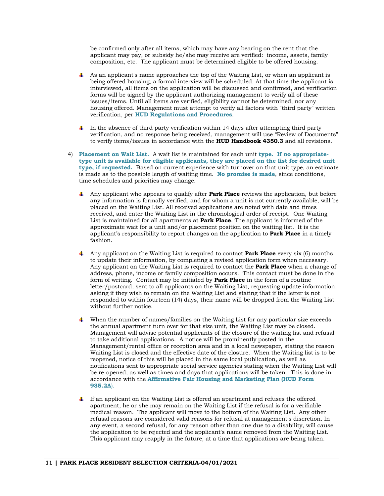be confirmed only after all items, which may have any bearing on the rent that the applicant may pay, or subsidy he/she may receive are verified: income, assets, family composition, etc. The applicant must be determined eligible to be offered housing.

- $\blacktriangle$  As an applicant's name approaches the top of the Waiting List, or when an applicant is being offered housing, a formal interview will be scheduled. At that time the applicant is interviewed, all items on the application will be discussed and confirmed, and verification forms will be signed by the applicant authorizing management to verify all of these issues/items. Until all items are verified, eligibility cannot be determined, nor any housing offered. Management must attempt to verify all factors with "third party" written verification, per **HUD Regulations and Procedures**.
- In the absence of third party verification within 14 days after attempting third party verification, and no response being received, management will use "Review of Documents" to verify items/issues in accordance with the **HUD Handbook 4350.3** and all revisions.
- 4) **Placement on Wait List.** A wait list is maintained for each unit **type. If no appropriatetype unit is available for eligible applicants, they are placed on the list for desired unit type, if requested.** Based on current experience with turnover on that unit type, an estimate is made as to the possible length of waiting time. **No promise is made**, since conditions, time schedules and priorities may change.
	- Any applicant who appears to qualify after **Park Place** reviews the application, but before any information is formally verified, and for whom a unit is not currently available, will be placed on the Waiting List. All received applications are noted with date and times received, and enter the Waiting List in the chronological order of receipt. One Waiting List is maintained for all apartments at **Park Place**. The applicant is informed of the approximate wait for a unit and/or placement position on the waiting list. It is the applicant's responsibility to report changes on the application to **Park Place** in a timely fashion.
	- Any applicant on the Waiting List is required to contact **Park Place** every six (6) months to update their information, by completing a revised application form when necessary. Any applicant on the Waiting List is required to contact the **Park Place** when a change of address, phone, income or family composition occurs. This contact must be done in the form of writing. Contact may be initiated by **Park Place** in the form of a routine letter/postcard, sent to all applicants on the Waiting List, requesting update information, asking if they wish to remain on the Waiting List and stating that if the letter is not responded to within fourteen (14) days, their name will be dropped from the Waiting List without further notice.
	- When the number of names/families on the Waiting List for any particular size exceeds the annual apartment turn over for that size unit, the Waiting List may be closed. Management will advise potential applicants of the closure of the waiting list and refusal to take additional applications. A notice will be prominently posted in the Management/rental office or reception area and in a local newspaper, stating the reason Waiting List is closed and the effective date of the closure. When the Waiting list is to be reopened, notice of this will be placed in the same local publication, as well as notifications sent to appropriate social service agencies stating when the Waiting List will be re-opened, as well as times and days that applications will be taken. This is done in accordance with the **Affirmative Fair Housing and Marketing Plan (HUD Form 935.2A**).
	- If an applicant on the Waiting List is offered an apartment and refuses the offered apartment, he or she may remain on the Waiting List if the refusal is for a verifiable medical reason. The applicant will move to the bottom of the Waiting List. Any other refusal reasons are considered valid reasons for refusal at management's discretion. In any event, a second refusal, for any reason other than one due to a disability, will cause the application to be rejected and the applicant's name removed from the Waiting List. This applicant may reapply in the future, at a time that applications are being taken.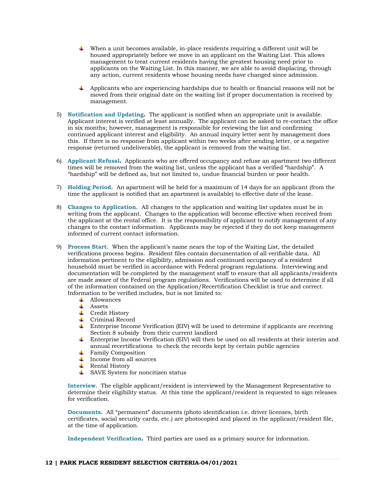- When a unit becomes available, in-place residents requiring a different unit will be housed appropriately before we move in an applicant on the Waiting List. This allows management to treat current residents having the greatest housing need prior to applicants on the Waiting List. In this manner, we are able to avoid displacing, through any action, current residents whose housing needs have changed since admission.
- Applicants who are experiencing hardships due to health or financial reasons will not be moved from their original date on the waiting list if proper documentation is received by management.
- 5) **Notification and Updating.** The applicant is notified when an appropriate unit is available. Applicant interest is verified at least annually. The applicant can be asked to re-contact the office in six months; however, management is responsible for reviewing the list and confirming continued applicant interest and eligibility. An annual inquiry letter sent by management does this. If there is no response from applicant within two weeks after sending letter, or a negative response (returned undeliverable), the applicant is removed from the waiting list.
- 6) **Applicant Refusal.** Applicants who are offered occupancy and refuse an apartment two different times will be removed from the waiting list, unless the applicant has a verified "hardship". A "hardship" will be defined as, but not limited to, undue financial burden or poor health.
- 7) **Holding Period.** An apartment will be held for a maximum of 14 days for an applicant (from the time the applicant is notified that an apartment is available) to effective date of the lease.
- 8) **Changes to Application.** All changes to the application and waiting list updates must be in writing from the applicant. Changes to the application will become effective when received from the applicant at the rental office. It is the responsibility of applicant to notify management of any changes to the contact information. Applicants may be rejected if they do not keep management informed of current contact information.
- 9) **Process Start.** When the applicant's name nears the top of the Waiting List, the detailed verifications process begins. Resident files contain documentation of all verifiable data. All information pertinent to the eligibility, admission and continued occupancy of a resident household must be verified in accordance with Federal program regulations. Interviewing and documentation will be completed by the management staff to ensure that all applicants/residents are made aware of the Federal program regulations. Verifications will be used to determine if all of the information contained on the Application/Recertification Checklist is true and correct. Information to be verified includes, but is not limited to:
	- **↓** Allowances
	- $\overline{\phantom{a}}$  Assets
	- **↓** Credit History
	- Criminal Record
	- Enterprise Income Verification (EIV) will be used to determine if applicants are receiving Section 8 subsidy from their current landlord
	- Enterprise Income Verification (EIV) will then be used on all residents at their interim and annual recertifications to check the records kept by certain public agencies
	- $\overline{\phantom{a}}$  Family Composition
	- $\overline{\phantom{a}}$  Income from all sources
	- $\overline{\phantom{a}}$  Rental History
	- $\overline{\phantom{a}}$  SAVE System for noncitizen status

**Interview.** The eligible applicant/resident is interviewed by the Management Representative to determine their eligibility status. At this time the applicant/resident is requested to sign releases for verification.

**Documents.** All "permanent" documents (photo identification i.e. driver licenses, birth certificates, social security cards, etc.) are photocopied and placed in the applicant/resident file, at the time of application.

**Independent Verification.** Third parties are used as a primary source for information.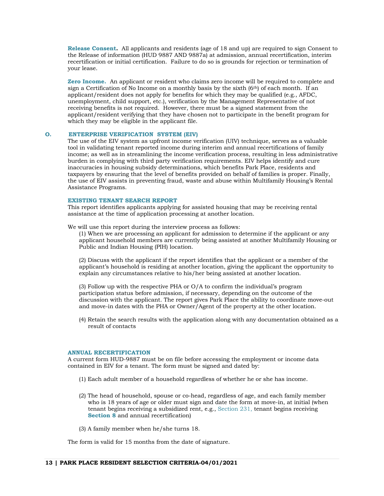**Release Consent.** All applicants and residents (age of 18 and up) are required to sign Consent to the Release of information (HUD 9887 AND 9887a) at admission, annual recertification, interim recertification or initial certification. Failure to do so is grounds for rejection or termination of your lease.

**Zero Income.** An applicant or resident who claims zero income will be required to complete and sign a Certification of No Income on a monthly basis by the sixth  $(6<sup>th</sup>)$  of each month. If an applicant/resident does not apply for benefits for which they may be qualified (e.g., AFDC, unemployment, child support, etc.), verification by the Management Representative of not receiving benefits is not required. However, there must be a signed statement from the applicant/resident verifying that they have chosen not to participate in the benefit program for which they may be eligible in the applicant file.

# **O. ENTERPRISE VERIFICATION SYSTEM (EIV)**

The use of the EIV system as upfront income verification (UIV) technique, serves as a valuable tool in validating tenant reported income during interim and annual recertifications of family income; as well as in streamlining the income verification process, resulting in less administrative burden in complying with third party verification requirements. EIV helps identify and cure inaccuracies in housing subsidy determinations, which benefits Park Place, residents and taxpayers by ensuring that the level of benefits provided on behalf of families is proper. Finally, the use of EIV assists in preventing fraud, waste and abuse within Multifamily Housing's Rental Assistance Programs.

# **EXISTING TENANT SEARCH REPORT**

This report identifies applicants applying for assisted housing that may be receiving rental assistance at the time of application processing at another location.

We will use this report during the interview process as follows:

(1) When we are processing an applicant for admission to determine if the applicant or any applicant household members are currently being assisted at another Multifamily Housing or Public and Indian Housing (PIH) location.

(2) Discuss with the applicant if the report identifies that the applicant or a member of the applicant's household is residing at another location, giving the applicant the opportunity to explain any circumstances relative to his/her being assisted at another location.

(3) Follow up with the respective PHA or O/A to confirm the individual's program participation status before admission, if necessary, depending on the outcome of the discussion with the applicant. The report gives Park Place the ability to coordinate move-out and move-in dates with the PHA or Owner/Agent of the property at the other location.

(4) Retain the search results with the application along with any documentation obtained as a result of contacts

#### **ANNUAL RECERTIFICATION**

A current form HUD-9887 must be on file before accessing the employment or income data contained in EIV for a tenant. The form must be signed and dated by:

- (1) Each adult member of a household regardless of whether he or she has income.
- (2) The head of household, spouse or co-head, regardless of age, and each family member who is 18 years of age or older must sign and date the form at move-in, at initial (when tenant begins receiving a subsidized rent, e.g., Section 231, tenant begins receiving **Section 8** and annual recertification)
- (3) A family member when he/she turns 18.

The form is valid for 15 months from the date of signature.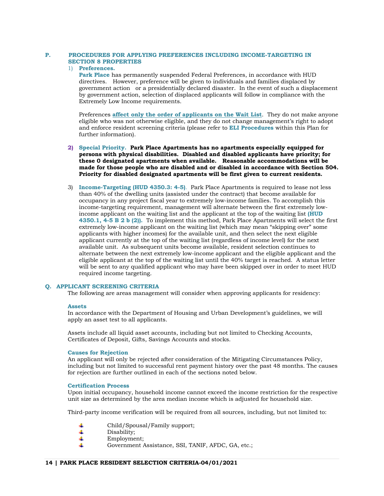# **P. PROCEDURES FOR APPLYING PREFERENCES INCLUDING INCOME-TARGETING IN SECTION 8 PROPERTIES**

# 1) **Preferences.**

**Park Place** has permanently suspended Federal Preferences, in accordance with HUD directives. However, preference will be given to individuals and families displaced by government action or a presidentially declared disaster. In the event of such a displacement by government action, selection of displaced applicants will follow in compliance with the Extremely Low Income requirements.

Preferences **affect only the order of applicants on the Wait List**. They do not make anyone eligible who was not otherwise eligible, and they do not change management's right to adopt and enforce resident screening criteria (please refer to **ELI Procedures** within this Plan for further information).

# **2) Special Priority. Park Place Apartments has no apartments especially equipped for persons with physical disabilities. Disabled and disabled applicants have priority; for these 0 designated apartments when available. Reasonable accommodations will be made for those people who are disabled and or disabled in accordance with Section 504. Priority for disabled designated apartments will be first given to current residents.**

3) **Income-Targeting (HUD 4350.3: 4-5)**. Park Place Apartments is required to lease not less than 40% of the dwelling units (assisted under the contract) that become available for occupancy in any project fiscal year to extremely low-income families. To accomplish this income-targeting requirement, management will alternate between the first extremely lowincome applicant on the waiting list and the applicant at the top of the waiting list **(HUD 4350.1, 4-5 B 2 b (2)).** To implement this method, Park Place Apartments will select the first extremely low-income applicant on the waiting list (which may mean "skipping over" some applicants with higher incomes) for the available unit, and then select the next eligible applicant currently at the top of the waiting list (regardless of income level) for the next available unit. As subsequent units become available, resident selection continues to alternate between the next extremely low-income applicant and the eligible applicant and the eligible applicant at the top of the waiting list until the 40% target is reached. A status letter will be sent to any qualified applicant who may have been skipped over in order to meet HUD required income targeting.

# **Q. APPLICANT SCREENING CRITERIA**

The following are areas management will consider when approving applicants for residency:

#### **Assets**

In accordance with the Department of Housing and Urban Development's guidelines, we will apply an asset test to all applicants.

Assets include all liquid asset accounts, including but not limited to Checking Accounts, Certificates of Deposit, Gifts, Savings Accounts and stocks.

# **Causes for Rejection**

An applicant will only be rejected after consideration of the Mitigating Circumstances Policy, including but not limited to successful rent payment history over the past 48 months. The causes for rejection are further outlined in each of the sections noted below.

# **Certification Process**

Upon initial occupancy, household income cannot exceed the income restriction for the respective unit size as determined by the area median income which is adjusted for household size.

Third-party income verification will be required from all sources, including, but not limited to:

- Child/Spousal/Family support; ٠
- 4 Disability;
- 4 Employment;
- Government Assistance, SSI, TANIF, AFDC, GA, etc.;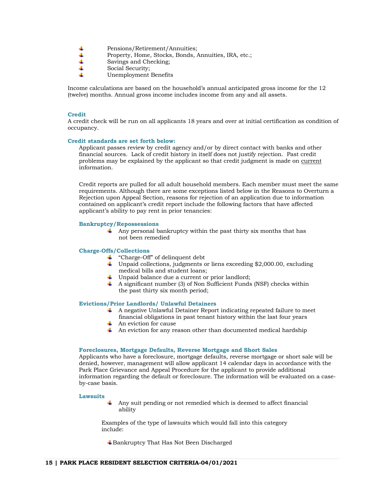- 4 Pensions/Retirement/Annuities;
- 4 Property, Home, Stocks, Bonds, Annuities, IRA, etc.;
- 4 Savings and Checking;
- 4 Social Security;
- d. Unemployment Benefits

Income calculations are based on the household's annual anticipated gross income for the 12 (twelve) months. Annual gross income includes income from any and all assets.

#### **Credit**

A credit check will be run on all applicants 18 years and over at initial certification as condition of occupancy.

#### **Credit standards are set forth below:**

Applicant passes review by credit agency and/or by direct contact with banks and other financial sources. Lack of credit history in itself does not justify rejection. Past credit problems may be explained by the applicant so that credit judgment is made on current information.

Credit reports are pulled for all adult household members. Each member must meet the same requirements. Although there are some exceptions listed below in the Reasons to Overturn a Rejection upon Appeal Section, reasons for rejection of an application due to information contained on applicant's credit report include the following factors that have affected applicant's ability to pay rent in prior tenancies:

#### **Bankruptcy/Repossessions**

 $\uparrow$  Any personal bankruptcy within the past thirty six months that has not been remedied

#### **Charge-Offs/Collections**

- $\ddot{\bullet}$  "Charge-Off" of delinquent debt
- Unpaid collections, judgments or liens exceeding \$2,000.00, excluding medical bills and student loans;
- Unpaid balance due a current or prior landlord;
- $\overline{A}$  A significant number (3) of Non Sufficient Funds (NSF) checks within the past thirty six month period;

#### **Evictions/Prior Landlords/ Unlawful Detainers**

- A negative Unlawful Detainer Report indicating repeated failure to meet financial obligations in past tenant history within the last four years
- $\overline{\phantom{a}}$  An eviction for cause
- $\overline{\phantom{a} \overline{\phantom{a}}}$  An eviction for any reason other than documented medical hardship

#### **Foreclosures, Mortgage Defaults, Reverse Mortgage and Short Sales**

Applicants who have a foreclosure, mortgage defaults, reverse mortgage or short sale will be denied, however, management will allow applicant 14 calendar days in accordance with the Park Place Grievance and Appeal Procedure for the applicant to provide additional information regarding the default or foreclosure. The information will be evaluated on a caseby-case basis.

#### **Lawsuits**

4 Any suit pending or not remedied which is deemed to affect financial ability

Examples of the type of lawsuits which would fall into this category include:

Bankruptcy That Has Not Been Discharged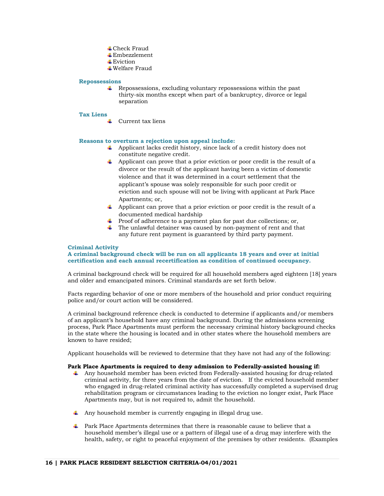- **↓**Check Fraud
- $E$ mbezzlement
- **Eviction**
- Welfare Fraud

# **Repossessions**

Repossessions, excluding voluntary repossessions within the past thirty-six months except when part of a bankruptcy, divorce or legal separation

#### **Tax Liens**

 $\overline{\phantom{a}}$  Current tax liens

# **Reasons to overturn a rejection upon appeal include:**

- $\overline{\phantom{a}}$  Applicant lacks credit history, since lack of a credit history does not constitute negative credit.
- Applicant can prove that a prior eviction or poor credit is the result of a divorce or the result of the applicant having been a victim of domestic violence and that it was determined in a court settlement that the applicant's spouse was solely responsible for such poor credit or eviction and such spouse will not be living with applicant at Park Place Apartments; or,
- Applicant can prove that a prior eviction or poor credit is the result of a documented medical hardship
- $\overline{\phantom{a} \bullet}$  Proof of adherence to a payment plan for past due collections; or,
- $\hbox{\large\#}$  The unlawful detainer was caused by non-payment of rent and that any future rent payment is guaranteed by third party payment.

#### **Criminal Activity**

# **A criminal background check will be run on all applicants 18 years and over at initial certification and each annual recertification as condition of continued occupancy.**

A criminal background check will be required for all household members aged eighteen [18] years and older and emancipated minors. Criminal standards are set forth below.

Facts regarding behavior of one or more members of the household and prior conduct requiring police and/or court action will be considered.

A criminal background reference check is conducted to determine if applicants and/or members of an applicant's household have any criminal background. During the admissions screening process, Park Place Apartments must perform the necessary criminal history background checks in the state where the housing is located and in other states where the household members are known to have resided;

Applicant households will be reviewed to determine that they have not had any of the following:

# **Park Place Apartments is required to deny admission to Federally-assisted housing if:**

- Any household member has been evicted from Federally-assisted housing for drug-related criminal activity, for three years from the date of eviction. If the evicted household member who engaged in drug-related criminal activity has successfully completed a supervised drug rehabilitation program or circumstances leading to the eviction no longer exist, Park Place Apartments may, but is not required to, admit the household.
- Any household member is currently engaging in illegal drug use.
- $\ddot{\bullet}$  Park Place Apartments determines that there is reasonable cause to believe that a household member's illegal use or a pattern of illegal use of a drug may interfere with the health, safety, or right to peaceful enjoyment of the premises by other residents. (Examples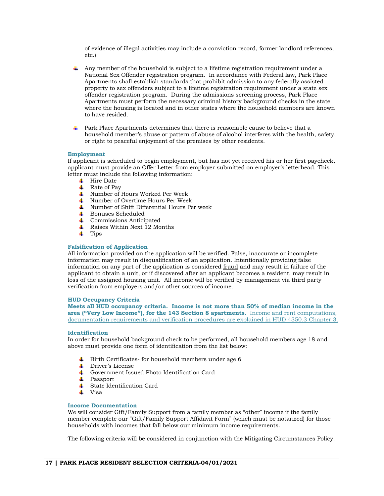of evidence of illegal activities may include a conviction record, former landlord references, etc.)

- Any member of the household is subject to a lifetime registration requirement under a National Sex Offender registration program. In accordance with Federal law, Park Place Apartments shall establish standards that prohibit admission to any federally assisted property to sex offenders subject to a lifetime registration requirement under a state sex offender registration program. During the admissions screening process, Park Place Apartments must perform the necessary criminal history background checks in the state where the housing is located and in other states where the household members are known to have resided.
- $\ddot{\bullet}$  Park Place Apartments determines that there is reasonable cause to believe that a household member's abuse or pattern of abuse of alcohol interferes with the health, safety, or right to peaceful enjoyment of the premises by other residents.

# **Employment**

If applicant is scheduled to begin employment, but has not yet received his or her first paycheck, applicant must provide an Offer Letter from employer submitted on employer's letterhead. This letter must include the following information:

- $\blacksquare$  Hire Date
- $\overline{\phantom{a}}$  Rate of Pav
- Number of Hours Worked Per Week
- Number of Overtime Hours Per Week
- Number of Shift Differential Hours Per week
- Bonuses Scheduled
- $\leftarrow$  Commissions Anticipated
- $\overline{\phantom{a}}$  Raises Within Next 12 Months
- $\downarrow$  Tips

# **Falsification of Application**

All information provided on the application will be verified. False, inaccurate or incomplete information may result in disqualification of an application. Intentionally providing false information on any part of the application is considered fraud and may result in failure of the applicant to obtain a unit, or if discovered after an applicant becomes a resident, may result in loss of the assigned housing unit. All income will be verified by management via third party verification from employers and/or other sources of income.

#### **HUD Occupancy Criteria**

**Meets all HUD occupancy criteria. Income is not more than 50% of median income in the area ("Very Low Income"), for the 143 Section 8 apartments.** Income and rent computations, documentation requirements and verification procedures are explained in HUD 4350.3 Chapter 3.

#### **Identification**

In order for household background check to be performed, all household members age 18 and above must provide one form of identification from the list below:

- $\overline{\phantom{a}}$  Birth Certificates- for household members under age 6
- **↓** Driver's License
- Government Issued Photo Identification Card
- **↓** Passport
- State Identification Card
- $\overline{\phantom{a}}$  Visa

## **Income Documentation**

We will consider Gift/Family Support from a family member as "other" income if the family member complete our "Gift/Family Support Affidavit Form" (which must be notarized) for those households with incomes that fall below our minimum income requirements.

The following criteria will be considered in conjunction with the Mitigating Circumstances Policy.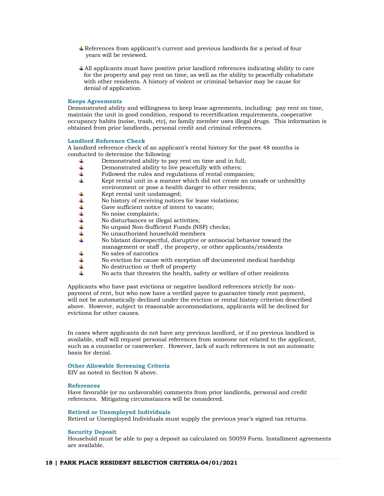- References from applicant's current and previous landlords for a period of four years will be reviewed.
- All applicants must have positive prior landlord references indicating ability to care for the property and pay rent on time, as well as the ability to peacefully cohabitate with other residents. A history of violent or criminal behavior may be cause for denial of application.

#### **Keeps Agreements**

Demonstrated ability and willingness to keep lease agreements, including: pay rent on time, maintain the unit in good condition, respond to recertification requirements, cooperative occupancy habits (noise, trash, etc), no family member uses illegal drugs. This information is obtained from prior landlords, personal credit and criminal references.

# **Landlord Reference Check**

A landlord reference check of an applicant's rental history for the past 48 months is conducted to determine the following:

- 4 Demonstrated ability to pay rent on time and in full;
- 4. Demonstrated ability to live peacefully with others;
- 4 Followed the rules and regulations of rental companies;
- 41 Kept rental unit in a manner which did not create an unsafe or unhealthy environment or pose a health danger to other residents;<br>  $\text{K}$  Kept rental unit undamaged;
- Kept rental unit undamaged;
- 4 No history of receiving notices for lease violations;
- Gave sufficient notice of intent to vacate;  $+$
- No noise complaints;
- No disturbances or illegal activities;
- 4 No unpaid Non-Sufficient Funds (NSF) checks;
- 4 No unauthorized household members
- 4. No blatant disrespectful, disruptive or antisocial behavior toward the management or staff, the property, or other applicants/residents<br>  $\uparrow$  No sales of narcotics
- No sales of narcotics
- 4 No eviction for cause with exception off documented medical hardship
- 4. No destruction or theft of property
- 4. No acts that threaten the health, safety or welfare of other residents

Applicants who have past evictions or negative landlord references strictly for nonpayment of rent, but who now have a verified payee to guarantee timely rent payment, will not be automatically declined under the eviction or rental history criterion described above. However, subject to reasonable accommodations, applicants will be declined for evictions for other causes.

In cases where applicants do not have any previous landlord, or if no previous landlord is available, staff will request personal references from someone not related to the applicant, such as a counselor or caseworker. However, lack of such references is not an automatic basis for denial.

#### **Other Allowable Screening Criteria**

EIV as noted in Section N above.

#### **References**

Have favorable (or no unfavorable) comments from prior landlords, personal and credit references. Mitigating circumstances will be considered.

#### **Retired or Unemployed Individuals**

Retired or Unemployed Individuals must supply the previous year's signed tax returns.

# **Security Deposit**

Household must be able to pay a deposit as calculated on 50059 Form. Installment agreements are available.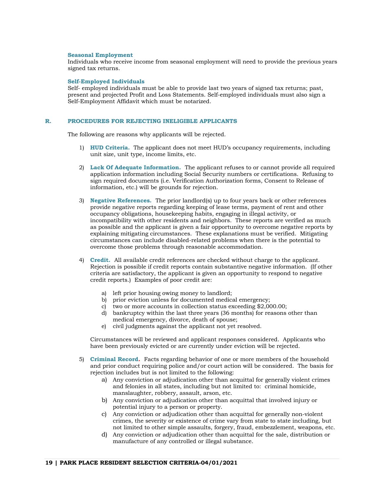#### **Seasonal Employment**

Individuals who receive income from seasonal employment will need to provide the previous years signed tax returns.

#### **Self-Employed Individuals**

Self- employed individuals must be able to provide last two years of signed tax returns; past, present and projected Profit and Loss Statements. Self-employed individuals must also sign a Self-Employment Affidavit which must be notarized.

# **R. PROCEDURES FOR REJECTING INELIGIBLE APPLICANTS**

The following are reasons why applicants will be rejected.

- 1) **HUD Criteria.** The applicant does not meet HUD's occupancy requirements, including unit size, unit type, income limits, etc.
- 2) **Lack Of Adequate Information.** The applicant refuses to or cannot provide all required application information including Social Security numbers or certifications. Refusing to sign required documents (i.e. Verification Authorization forms, Consent to Release of information, etc.) will be grounds for rejection.
- 3) **Negative References.** The prior landlord(s) up to four years back or other references provide negative reports regarding keeping of lease terms, payment of rent and other occupancy obligations, housekeeping habits, engaging in illegal activity, or incompatibility with other residents and neighbors. These reports are verified as much as possible and the applicant is given a fair opportunity to overcome negative reports by explaining mitigating circumstances. These explanations must be verified. Mitigating circumstances can include disabled-related problems when there is the potential to overcome those problems through reasonable accommodation.
- 4) **Credit.** All available credit references are checked without charge to the applicant. Rejection is possible if credit reports contain substantive negative information. (If other criteria are satisfactory, the applicant is given an opportunity to respond to negative credit reports.) Examples of poor credit are:
	- a) left prior housing owing money to landlord;
	- b) prior eviction unless for documented medical emergency;
	- c) two or more accounts in collection status exceeding \$2,000.00;
	- d) bankruptcy within the last three years (36 months) for reasons other than medical emergency, divorce, death of spouse;
	- e) civil judgments against the applicant not yet resolved.

Circumstances will be reviewed and applicant responses considered. Applicants who have been previously evicted or are currently under eviction will be rejected.

- 5) **Criminal Record.** Facts regarding behavior of one or more members of the household and prior conduct requiring police and/or court action will be considered. The basis for rejection includes but is not limited to the following:
	- a) Any conviction or adjudication other than acquittal for generally violent crimes and felonies in all states, including but not limited to: criminal homicide, manslaughter, robbery, assault, arson, etc.
	- b) Any conviction or adjudication other than acquittal that involved injury or potential injury to a person or property.
	- c) Any conviction or adjudication other than acquittal for generally non-violent crimes, the severity or existence of crime vary from state to state including, but not limited to other simple assaults, forgery, fraud, embezzlement, weapons, etc.
	- d) Any conviction or adjudication other than acquittal for the sale, distribution or manufacture of any controlled or illegal substance.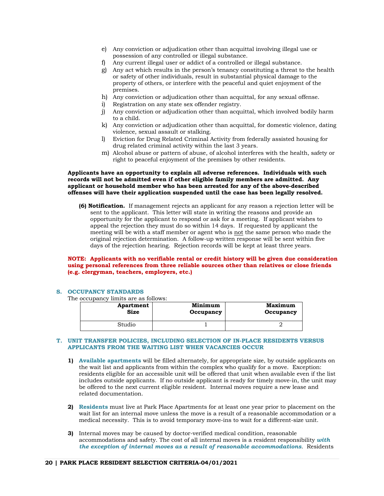- e) Any conviction or adjudication other than acquittal involving illegal use or possession of any controlled or illegal substance.
- Any current illegal user or addict of a controlled or illegal substance.
- g) Any act which results in the person's tenancy constituting a threat to the health or safety of other individuals, result in substantial physical damage to the property of others, or interfere with the peaceful and quiet enjoyment of the premises.
- h) Any conviction or adjudication other than acquittal, for any sexual offense.
- i) Registration on any state sex offender registry.
- j) Any conviction or adjudication other than acquittal, which involved bodily harm to a child.
- k) Any conviction or adjudication other than acquittal, for domestic violence, dating violence, sexual assault or stalking.
- l) Eviction for Drug Related Criminal Activity from federally assisted housing for drug related criminal activity within the last 3 years.
- m) Alcohol abuse or pattern of abuse, of alcohol interferes with the health, safety or right to peaceful enjoyment of the premises by other residents.

# **Applicants have an opportunity to explain all adverse references. Individuals with such records will not be admitted even if other eligible family members are admitted. Any applicant or household member who has been arrested for any of the above-described offenses will have their application suspended until the case has been legally resolved.**

**(6) Notification.** If management rejects an applicant for any reason a rejection letter will be sent to the applicant. This letter will state in writing the reasons and provide an opportunity for the applicant to respond or ask for a meeting. If applicant wishes to appeal the rejection they must do so within 14 days. If requested by applicant the meeting will be with a staff member or agent who is not the same person who made the original rejection determination. A follow-up written response will be sent within five days of the rejection hearing. Rejection records will be kept at least three years.

# **NOTE: Applicants with no verifiable rental or credit history will be given due consideration using personal references from three reliable sources other than relatives or close friends (e.g. clergyman, teachers, employers, etc.)**

# **S. OCCUPANCY STANDARDS**

The occupancy limits are as follows:

| Apartment | Minimum   | <b>Maximum</b> |
|-----------|-----------|----------------|
| Size      | Occupancy | Occupancy      |
| Studio    |           |                |

#### **T. UNIT TRANSFER POLICIES, INCLUDING SELECTION OF IN-PLACE RESIDENTS VERSUS APPLICANTS FROM THE WAITING LIST WHEN VACANCIES OCCUR**

- **1) Available apartments** will be filled alternately, for appropriate size, by outside applicants on the wait list and applicants from within the complex who qualify for a move. Exception: residents eligible for an accessible unit will be offered that unit when available even if the list includes outside applicants. If no outside applicant is ready for timely move-in, the unit may be offered to the next current eligible resident. Internal moves require a new lease and related documentation.
- **2) Residents** must live at Park Place Apartments for at least one year prior to placement on the wait list for an internal move unless the move is a result of a reasonable accommodation or a medical necessity. This is to avoid temporary move-ins to wait for a different-size unit.
- **3)** Internal moves may be caused by doctor-verified medical condition, reasonable accommodations and safety. The cost of all internal moves is a resident responsibility *with the exception of internal moves as a result of reasonable accommodations*. Residents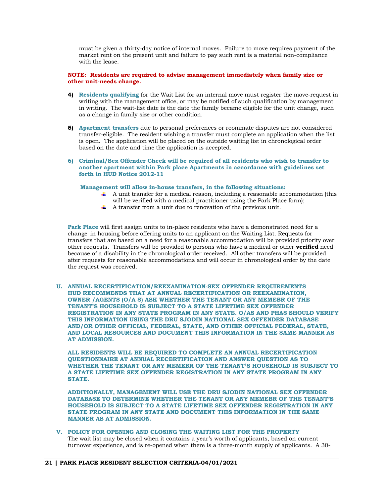must be given a thirty-day notice of internal moves. Failure to move requires payment of the market rent on the present unit and failure to pay such rent is a material non-compliance with the lease.

# **NOTE: Residents are required to advise management immediately when family size or other unit-needs change.**

- **4) Residents qualifying** for the Wait List for an internal move must register the move-request in writing with the management office, or may be notified of such qualification by management in writing. The wait-list date is the date the family became eligible for the unit change, such as a change in family size or other condition.
- **5) Apartment transfers** due to personal preferences or roommate disputes are not considered transfer-eligible. The resident wishing a transfer must complete an application when the list is open. The application will be placed on the outside waiting list in chronological order based on the date and time the application is accepted.
- **6) Criminal/Sex Offender Check will be required of all residents who wish to transfer to another apartment within Park place Apartments in accordance with guidelines set forth in HUD Notice 2012-11**

#### **Management will allow in-house transfers, in the following situations:**

- $\uparrow$  A unit transfer for a medical reason, including a reasonable accommodation (this will be verified with a medical practitioner using the Park Place form);
- A transfer from a unit due to renovation of the previous unit.

**Park Place** will first assign units to in-place residents who have a demonstrated need for a change in housing before offering units to an applicant on the Waiting List. Requests for transfers that are based on a need for a reasonable accommodation will be provided priority over other requests. Transfers will be provided to persons who have a medical or other **verified** need because of a disability in the chronological order received. All other transfers will be provided after requests for reasonable accommodations and will occur in chronological order by the date the request was received.

**U. ANNUAL RECERTIFICATION/REEXAMINATION-SEX OFFENDER REQUIREMENTS HUD RECOMMENDS THAT AT ANNUAL RECERTIFICATION OR REEXAMINATION, OWNER /AGENTS (O/A S) ASK WHETHER THE TENANT OR ANY MEMEBR OF THE TENANT'S HOUSEHOLD IS SUBJECT TO A STATE LIFETIME SEX OFFENDER REGISTRATION IN ANY STATE PROGRAM IN ANY STATE. O/AS AND PHAS SHOULD VERIFY THIS INFORMATION USING THE DRU SJODIN NATIONAL SEX OFFENDER DATABASE AND/OR OTHER OFFICIAL, FEDERAL, STATE, AND OTHER OFFICIAL FEDERAL, STATE, AND LOCAL RESOURCES AND DOCUMENT THIS INFORMATION IN THE SAME MANNER AS AT ADMISSION.**

**ALL RESIDENTS WILL BE REQUIRED TO COMPLETE AN ANNUAL RECERTIFICATION QUESTIONNAIRE AT ANNUAL RECERTIFICATION AND ANSWER QUESTION AS TO WHETHER THE TENANT OR ANY MEMEBR OF THE TENANT'S HOUSEHOLD IS SUBJECT TO A STATE LIFETIME SEX OFFENDER REGISTRATION IN ANY STATE PROGRAM IN ANY STATE.** 

**ADDITIONALLY, MANAGEMENT WILL USE THE DRU SJODIN NATIONAL SEX OFFENDER DATABASE TO DETERMINE WHETHER THE TENANT OR ANY MEMEBR OF THE TENANT'S HOUSEHOLD IS SUBJECT TO A STATE LIFETIME SEX OFFENDER REGISTRATION IN ANY STATE PROGRAM IN ANY STATE AND DOCUMENT THIS INFORMATION IN THE SAME MANNER AS AT ADMISSION.**

**V. POLICY FOR OPENING AND CLOSING THE WAITING LIST FOR THE PROPERTY**  The wait list may be closed when it contains a year's worth of applicants, based on current turnover experience, and is re-opened when there is a three-month supply of applicants. A 30-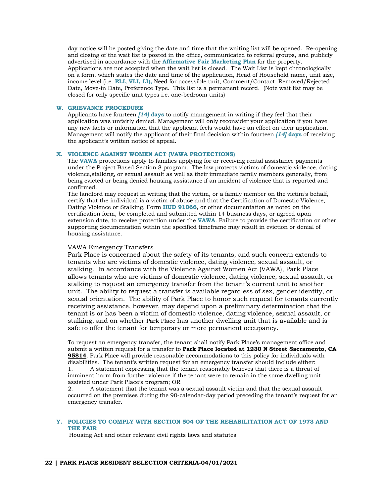day notice will be posted giving the date and time that the waiting list will be opened. Re-opening and closing of the wait list is posted in the office, communicated to referral groups, and publicly advertised in accordance with the **Affirmative Fair Marketing Plan** for the property. Applications are not accepted when the wait list is closed. The Wait List is kept chronologically on a form, which states the date and time of the application, Head of Household name, unit size, income level (i.e. **ELI, VLI, LI),** Need for accessible unit, Comment/Contact, Removed/Rejected Date, Move-in Date, Preference Type. This list is a permanent record. (Note wait list may be closed for only specific unit types i.e. one-bedroom units)

#### **W. GRIEVANCE PROCEDURE**

Applicants have fourteen *[14)* **days** to notify management in writing if they feel that their application was unfairly denied. Management will only reconsider your application if you have any new facts or information that the applicant feels would have an effect on their application. Management will notify the applicant of their final decision within fourteen *[14]* **days** of receiving the applicant's written notice of appeal.

# **X. VIOLENCE AGAINST WOMEN ACT (VAWA PROTECTIONS)**

The **VAWA** protections apply to families applying for or receiving rental assistance payments under the Project Based Section 8 program. The law protects victims of domestic violence, dating violence,stalking, or sexual assault as well as their immediate family members generally, from being evicted or being denied housing assistance if an incident of violence that is reported and confirmed.

The landlord may request in writing that the victim, or a family member on the victim's behalf, certify that the individual is a victim of abuse and that the Certification of Domestic Violence, Dating Violence or Stalking, Form **HUD 91066**, or other documentation as noted on the certification form, be completed and submitted within 14 business days, or agreed upon extension date, to receive protection under the **VAWA**. Failure to provide the certification or other supporting documentation within the specified timeframe may result in eviction or denial of housing assistance.

# VAWA Emergency Transfers

Park Place is concerned about the safety of its tenants, and such concern extends to tenants who are victims of domestic violence, dating violence, sexual assault, or stalking. In accordance with the Violence Against Women Act (VAWA), Park Place allows tenants who are victims of domestic violence, dating violence, sexual assault, or stalking to request an emergency transfer from the tenant's current unit to another unit. The ability to request a transfer is available regardless of sex, gender identity, or sexual orientation. The ability of Park Place to honor such request for tenants currently receiving assistance, however, may depend upon a preliminary determination that the tenant is or has been a victim of domestic violence, dating violence, sexual assault, or stalking, and on whether Park Place has another dwelling unit that is available and is safe to offer the tenant for temporary or more permanent occupancy.

To request an emergency transfer, the tenant shall notify Park Place's management office and submit a written request for a transfer to **Park Place located at 1230 N Street Sacramento, CA 95814**. Park Place will provide reasonable accommodations to this policy for individuals with disabilities. The tenant's written request for an emergency transfer should include either: 1. A statement expressing that the tenant reasonably believes that there is a threat of

imminent harm from further violence if the tenant were to remain in the same dwelling unit assisted under Park Place's program; OR

2. A statement that the tenant was a sexual assault victim and that the sexual assault occurred on the premises during the 90-calendar-day period preceding the tenant's request for an emergency transfer.

# **Y. POLICIES TO COMPLY WITH SECTION 504 OF THE REHABILITATION ACT OF 1973 AND THE FAIR**

Housing Act and other relevant civil rights laws and statutes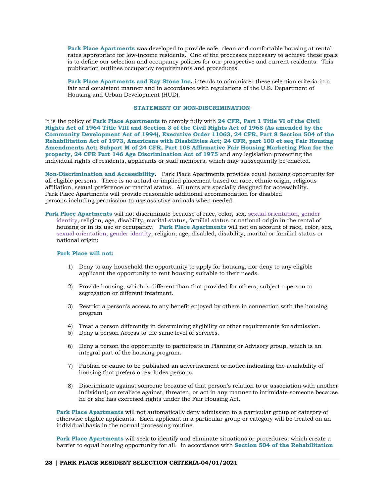**Park Place Apartments** was developed to provide safe, clean and comfortable housing at rental rates appropriate for low-income residents. One of the processes necessary to achieve these goals is to define our selection and occupancy policies for our prospective and current residents. This publication outlines occupancy requirements and procedures.

**Park Place Apartments and Ray Stone Inc.** intends to administer these selection criteria in a fair and consistent manner and in accordance with regulations of the U.S. Department of Housing and Urban Development (HUD).

# **STATEMENT OF NON-DISCRIMINATION**

It is the policy of **Park Place Apartments** to comply fully with **24 CFR, Part 1 Title VI of the Civil Rights Act of 1964 Title VIII and Section 3 of the Civil Rights Act of 1968 (As amended by the Community Development Act of 1994), Executive Order 11063, 24 CFR, Part 8 Section 504 of the Rehabilitation Act of 1973, Americans with Disabilities Act; 24 CFR, part 100 et seq Fair Housing Amendments Act; Subpart M of 24 CFR, Part 108 Affirmative Fair Housing Marketing Plan for the property, 24 CFR Part 146 Age Discrimination Act of 1975** and any legislation protecting the individual rights of residents, applicants or staff members, which may subsequently be enacted.

**Non-Discrimination and Accessibility.** Park Place Apartments provides equal housing opportunity for all eligible persons. There is no actual or implied placement based on race, ethnic origin, religious affiliation, sexual preference or marital status. All units are specially designed for accessibility. Park Place Apartments will provide reasonable additional accommodation for disabled persons including permission to use assistive animals when needed.

**Park Place Apartments** will not discriminate because of race, color, sex, sexual orientation, gender identity, religion, age, disability, marital status, familial status or national origin in the rental of housing or in its use or occupancy. **Park Place Apartments** will not on account of race, color, sex, sexual orientation, gender identity, religion, age, disabled, disability, marital or familial status or national origin:

#### **Park Place will not:**

- 1) Deny to any household the opportunity to apply for housing, nor deny to any eligible applicant the opportunity to rent housing suitable to their needs.
- 2) Provide housing, which is different than that provided for others; subject a person to segregation or different treatment.
- 3) Restrict a person's access to any benefit enjoyed by others in connection with the housing program
- 4) Treat a person differently in determining eligibility or other requirements for admission.
- 5) Deny a person Access to the same level of services.
- 6) Deny a person the opportunity to participate in Planning or Advisory group, which is an integral part of the housing program.
- 7) Publish or cause to be published an advertisement or notice indicating the availability of housing that prefers or excludes persons.
- 8) Discriminate against someone because of that person's relation to or association with another individual; or retaliate against, threaten, or act in any manner to intimidate someone because he or she has exercised rights under the Fair Housing Act.

**Park Place Apartments** will not automatically deny admission to a particular group or category of otherwise eligible applicants. Each applicant in a particular group or category will be treated on an individual basis in the normal processing routine.

**Park Place Apartments** will seek to identify and eliminate situations or procedures, which create a barrier to equal housing opportunity for all. In accordance with **Section 504 of the Rehabilitation**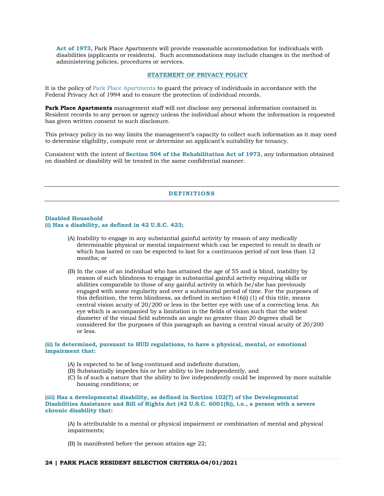**Act of 1973,** Park Place Apartments will provide reasonable accommodation for individuals with disabilities (applicants or residents). Such accommodations may include changes in the method of administering policies, procedures or services.

# **STATEMENT OF PRIVACY POLICY**

It is the policy of Park Place Apartments to guard the privacy of individuals in accordance with the Federal Privacy Act of 1994 and to ensure the protection of individual records.

**Park Place Apartments** management staff will not disclose any personal information contained in Resident records to any person or agency unless the individual about whom the information is requested has given written consent to such disclosure.

This privacy policy in no way limits the management's capacity to collect such information as it may need to determine eligibility, compute rent or determine an applicant's suitability for tenancy.

Consistent with the intent of **Section 504 of the Rehabilitation Act of 1973**, any information obtained on disabled or disability will be treated in the same confidential manner.

# **DEFINITIONS**

# **Disabled Household**

# **(i) Has a disability, as defined in 42 U.S.C. 423;**

- (A) Inability to engage in any substantial gainful activity by reason of any medically determinable physical or mental impairment which can be expected to result in death or which has lasted or can be expected to last for a continuous period of not less than 12 months; or
- (B) In the case of an individual who has attained the age of 55 and is blind, inability by reason of such blindness to engage in substantial gainful activity requiring skills or abilities comparable to those of any gainful activity in which he/she has previously engaged with some regularity and over a substantial period of time. For the purposes of this definition, the term blindness, as defined in section 416(i) (1) of this title, means central vision acuity of 20/200 or less in the better eye with use of a correcting lens. An eye which is accompanied by a limitation in the fields of vision such that the widest diameter of the visual field subtends an angle no greater than 20 degrees shall be considered for the purposes of this paragraph as having a central visual acuity of 20/200 or less.

# **(ii) Is determined, pursuant to HUD regulations, to have a physical, mental, or emotional impairment that:**

- (A) Is expected to be of long-continued and indefinite duration,
- (B) Substantially impedes his or her ability to live independently, and
- (C) Is of such a nature that the ability to live independently could be improved by more suitable housing conditions; or

## **(iii) Has a developmental disability, as defined in Section 102(7) of the Developmental Disabilities Assistance and Bill of Rights Act (42 U.S.C. 6001(8)), i.e., a person with a severe chronic disability that:**

(A) Is attributable to a mental or physical impairment or combination of mental and physical impairments;

(B) Is manifested before the person attains age 22;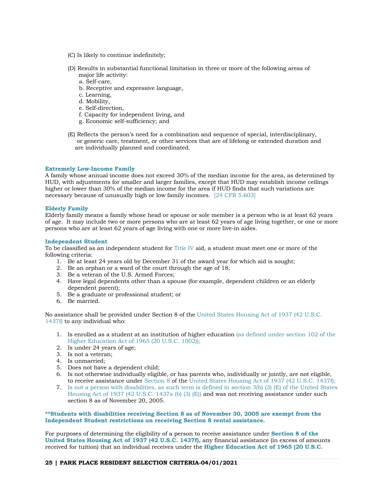- (C) Is likely to continue indefinitely;
- (D) Results in substantial functional limitation in three or more of the following areas of major life activity:
	- a. Self-care,
	- b. Receptive and expressive language,
	- c. Learning,
	- d. Mobility,
	- e. Self-direction,
	- f. Capacity for independent living, and
	- g. Economic self-sufficiency; and
- (E) Reflects the person's need for a combination and sequence of special, interdisciplinary, or generic care, treatment, or other services that are of lifelong or extended duration and are individually planned and coordinated.

# **Extremely Low-Income Family**

A family whose annual income does not exceed 30% of the median income for the area, as determined by HUD, with adjustments for smaller and larger families, except that HUD may establish income ceilings higher or lower than 30% of the median income for the area if HUD finds that such variations are necessary because of unusually high or low family incomes. [24 CFR 5.603]

# **Elderly Family**

Elderly family means a family whose head or spouse or sole member is a person who is at least 62 years of age. It may include two or more persons who are at least 62 years of age living together, or one or more persons who are at least 62 years of age living with one or more live-in aides.

#### **Independent Student**

To be classified as an independent student for Title IV aid, a student must meet one or more of the following criteria:

- 1. Be at least 24 years old by December 31 of the award year for which aid is sought;
- 2. Be an orphan or a ward of the court through the age of 18;
- 3. Be a veteran of the U.S. Armed Forces;
- 4. Have legal dependents other than a spouse (for example, dependent children or an elderly dependent parent);
- 5. Be a graduate or professional student; or
- 6. Be married.

No assistance shall be provided under Section 8 of the United States Housing Act of 1937 (42 U.S.C. 1437f) to any individual who:

- 1. Is enrolled as a student at an institution of higher education (as defined under section 102 of the Higher Education Act of 1965 (20 U.S.C. 1002));
- 2. Is under 24 years of age;
- 3. Is not a veteran;
- 4. Is unmarried;
- 5. Does not have a dependent child;
- 6. Is not otherwise individually eligible, or has parents who, individually or jointly, are not eligible, to receive assistance under Section 8 of the United States Housing Act of 1937 (42 U.S.C. 1437f);
- 7. Is not a person with disabilities, as such term is defined in section 3(b) (3) (E) of the United States Housing Act of 1937 (42 U.S.C. 1437a (b) (3) (E)) and was not receiving assistance under such section 8 as of November 20, 2005.

**\*\*Students with disabilities receiving Section 8 as of November 30, 2005 are exempt from the Independent Student restrictions on receiving Section 8 rental assistance.** 

For purposes of determining the eligibility of a person to receive assistance under **Section 8 of the United States Housing Act of 1937 (42 U.S.C. 1437f),** any financial assistance (in excess of amounts received for tuition) that an individual receives under the **Higher Education Act of 1965 (20 U.S.C.** 

#### **25 | PARK PLACE RESIDENT SELECTION CRITERIA-04/01/2021**